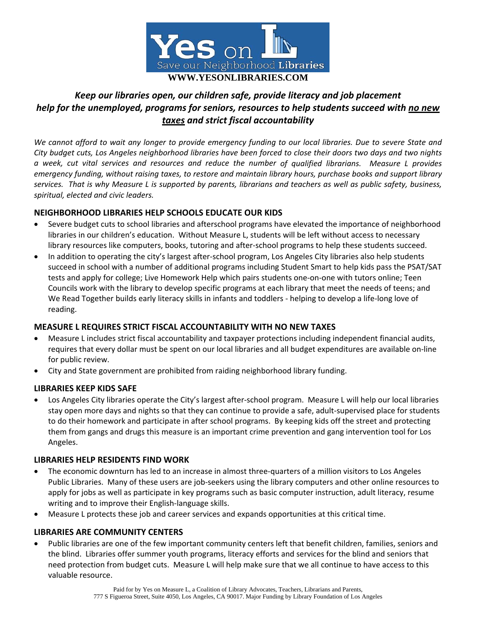

# *Keep our libraries open, our children safe, provide literacy and job placement help for the unemployed, programs for seniors, resources to help students succeed with no new taxes and strict fiscal accountability*

We cannot afford to wait any longer to provide emergency funding to our local libraries. Due to severe State and City budget cuts, Los Angeles neighborhood libraries have been forced to close their doors two days and two nights a week, cut vital services and resources and reduce the number of qualified librarians. Measure L provides emergency funding, without raising taxes, to restore and maintain library hours, purchase books and support library services. That is why Measure L is supported by parents, librarians and teachers as well as public safety, business, *spiritual, elected and civic leaders.*

## **NEIGHBORHOOD LIBRARIES HELP SCHOOLS EDUCATE OUR KIDS**

- Severe budget cuts to school libraries and afterschool programs have elevated the importance of neighborhood libraries in our children's education. Without Measure L, students will be left without access to necessary library resources like computers, books, tutoring and after‐school programs to help these students succeed.
- In addition to operating the city's largest after-school program, Los Angeles City libraries also help students succeed in school with a number of additional programs including Student Smart to help kids pass the PSAT/SAT tests and apply for college; Live Homework Help which pairs students one‐on‐one with tutors online; Teen Councils work with the library to develop specific programs at each library that meet the needs of teens; and We Read Together builds early literacy skills in infants and toddlers ‐ helping to develop a life‐long love of reading.

#### **MEASURE L REQUIRES STRICT FISCAL ACCOUNTABILITY WITH NO NEW TAXES**

- Measure L includes strict fiscal accountability and taxpayer protections including independent financial audits, requires that every dollar must be spent on our local libraries and all budget expenditures are available on‐line for public review.
- City and State government are prohibited from raiding neighborhood library funding.

#### **LIBRARIES KEEP KIDS SAFE**

 Los Angeles City libraries operate the City's largest after‐school program. Measure L will help our local libraries stay open more days and nights so that they can continue to provide a safe, adult-supervised place for students to do their homework and participate in after school programs. By keeping kids off the street and protecting them from gangs and drugs this measure is an important crime prevention and gang intervention tool for Los Angeles.

#### **LIBRARIES HELP RESIDENTS FIND WORK**

- The economic downturn has led to an increase in almost three-quarters of a million visitors to Los Angeles Public Libraries. Many of these users are job‐seekers using the library computers and other online resources to apply for jobs as well as participate in key programs such as basic computer instruction, adult literacy, resume writing and to improve their English‐language skills.
- Measure L protects these job and career services and expands opportunities at this critical time.

#### **LIBRARIES ARE COMMUNITY CENTERS**

 Public libraries are one of the few important community centers left that benefit children, families, seniors and the blind. Libraries offer summer youth programs, literacy efforts and services for the blind and seniors that need protection from budget cuts. Measure L will help make sure that we all continue to have access to this valuable resource.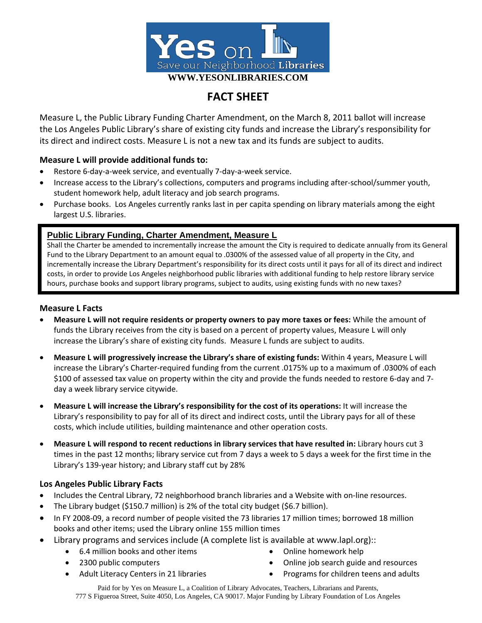

# **FACT SHEET**

Measure L, the Public Library Funding Charter Amendment, on the March 8, 2011 ballot will increase the Los Angeles Public Library's share of existing city funds and increase the Library's responsibility for its direct and indirect costs. Measure L is not a new tax and its funds are subject to audits.

## **Measure L will provide additional funds to:**

- Restore 6‐day‐a‐week service, and eventually 7‐day‐a‐week service.
- Increase access to the Library's collections, computers and programs including after‐school/summer youth, student homework help, adult literacy and job search programs.
- Purchase books. Los Angeles currently ranks last in per capita spending on library materials among the eight largest U.S. libraries.

## **Public Library Funding, Charter Amendment, Measure L**

Shall the Charter be amended to incrementally increase the amount the City is required to dedicate annually from its General Fund to the Library Department to an amount equal to .0300% of the assessed value of all property in the City, and incrementally increase the Library Department's responsibility for its direct costs until it pays for all of its direct and indirect costs, in order to provide Los Angeles neighborhood public libraries with additional funding to help restore library service hours, purchase books and support library programs, subject to audits, using existing funds with no new taxes?

### **Measure L Facts**

- **Measure L will not require residents or property owners to pay more taxes or fees:** While the amount of funds the Library receives from the city is based on a percent of property values, Measure L will only increase the Library's share of existing city funds. Measure L funds are subject to audits.
- **Measure L will progressively increase the Library's share of existing funds:** Within 4 years, Measure L will increase the Library's Charter‐required funding from the current .0175% up to a maximum of .0300% of each \$100 of assessed tax value on property within the city and provide the funds needed to restore 6‐day and 7‐ day a week library service citywide.
- **Measure L will increase the Library's responsibility for the cost of its operations:** It will increase the Library's responsibility to pay for all of its direct and indirect costs, until the Library pays for all of these costs, which include utilities, building maintenance and other operation costs.
- **Measure L will respond to recent reductions in library services that have resulted in:** Library hours cut 3 times in the past 12 months; library service cut from 7 days a week to 5 days a week for the first time in the Library's 139‐year history; and Library staff cut by 28%

## **Los Angeles Public Library Facts**

- Includes the Central Library, 72 neighborhood branch libraries and a Website with on‐line resources.
- The Library budget (\$150.7 million) is 2% of the total city budget (\$6.7 billion).
- In FY 2008-09, a record number of people visited the 73 libraries 17 million times; borrowed 18 million books and other items; used the Library online 155 million times
- Library programs and services include (A complete list is available at www.lapl.org)::
	- 6.4 million books and other items
	- 2300 public computers

Online homework help

- Online job search guide and resources
- Adult Literacy Centers in 21 libraries
- Programs for children teens and adults

Paid for by Yes on Measure L, a Coalition of Library Advocates, Teachers, Librarians and Parents, 777 S Figueroa Street, Suite 4050, Los Angeles, CA 90017. Major Funding by Library Foundation of Los Angeles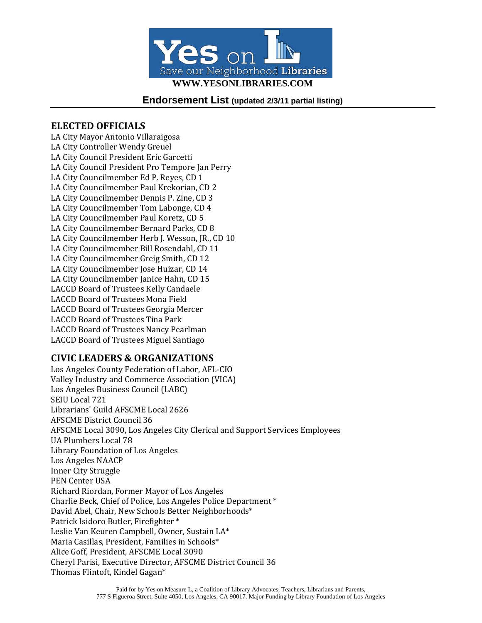

**Endorsement List (updated 2/3/11 partial listing)** 

## **ELECTED OFFICIALS**

LA City Mayor Antonio Villaraigosa LA City Controller Wendy Greuel LA City Council President Eric Garcetti LA City Council President Pro Tempore Jan Perry LA City Councilmember Ed P. Reyes, CD 1 LA City Councilmember Paul Krekorian, CD 2 LA City Councilmember Dennis P. Zine, CD 3 LA City Councilmember Tom Labonge, CD 4 LA City Councilmember Paul Koretz, CD 5 LA City Councilmember Bernard Parks, CD 8 LA City Councilmember Herb J. Wesson, JR., CD 10 LA City Councilmember Bill Rosendahl, CD 11 LA City Councilmember Greig Smith, CD 12 LA City Councilmember Jose Huizar, CD 14 LA City Councilmember Janice Hahn, CD 15 LACCD Board of Trustees Kelly Candaele LACCD Board of Trustees Mona Field LACCD Board of Trustees Georgia Mercer LACCD Board of Trustees Tina Park LACCD Board of Trustees Nancy Pearlman LACCD Board of Trustees Miguel Santiago

## **CIVIC LEADERS & ORGANIZATIONS**

Los Angeles County Federation of Labor, AFL‐CIO Valley Industry and Commerce Association (VICA) Los Angeles Business Council (LABC) SEIU Local 721 Librarians' Guild AFSCME Local 2626 AFSCME District Council 36 AFSCME Local 3090, Los Angeles City Clerical and Support Services Employees UA Plumbers Local 78 Library Foundation of Los Angeles Los Angeles NAACP Inner City Struggle PEN Center USA Richard Riordan, Former Mayor of Los Angeles Charlie Beck, Chief of Police, Los Angeles Police Department \* David Abel, Chair, New Schools Better Neighborhoods\* Patrick Isidoro Butler, Firefighter \* Leslie Van Keuren Campbell, Owner, Sustain LA\* Maria Casillas, President, Families in Schools\* Alice Goff, President, AFSCME Local 3090 Cheryl Parisi, Executive Director, AFSCME District Council 36 Thomas Flintoft, Kindel Gagan\*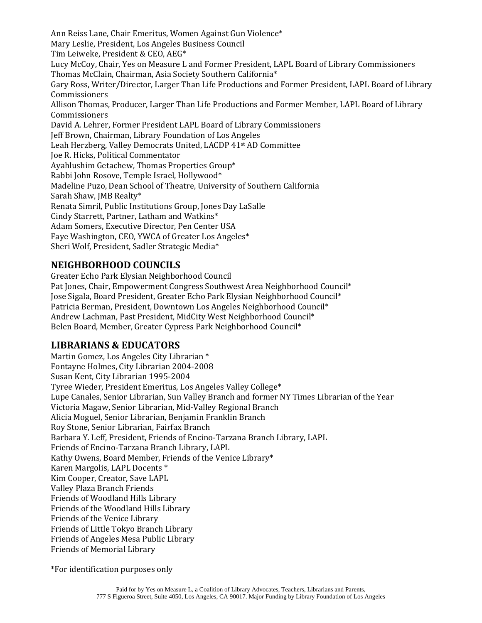Ann Reiss Lane, Chair Emeritus, Women Against Gun Violence\* Mary Leslie, President, Los Angeles Business Council Tim Leiweke, President & CEO, AEG\* Lucy McCoy, Chair, Yes on Measure L and Former President, LAPL Board of Library Commissioners Thomas McClain, Chairman, Asia Society Southern California\* Gary Ross, Writer/Director, Larger Than Life Productions and Former President, LAPL Board of Library Commissioners Allison Thomas, Producer, Larger Than Life Productions and Former Member, LAPL Board of Library Commissioners David A. Lehrer, Former President LAPL Board of Library Commissioners Jeff Brown, Chairman, Library Foundation of Los Angeles Leah Herzberg, Valley Democrats United, LACDP 41st AD Committee Joe R. Hicks, Political Commentator Ayahlushim Getachew, Thomas Properties Group\* Rabbi John Rosove, Temple Israel, Hollywood\* Madeline Puzo, Dean School of Theatre, University of Southern California Sarah Shaw, JMB Realty\* Renata Simril, Public Institutions Group, Jones Day LaSalle Cindy Starrett, Partner, Latham and Watkins\* Adam Somers, Executive Director, Pen Center USA Faye Washington, CEO, YWCA of Greater Los Angeles\* Sheri Wolf, President, Sadler Strategic Media\*

# **NEIGHBORHOOD COUNCILS**

Greater Echo Park Elysian Neighborhood Council Pat Jones, Chair, Empowerment Congress Southwest Area Neighborhood Council\* Jose Sigala, Board President, Greater Echo Park Elysian Neighborhood Council\* Patricia Berman, President, Downtown Los Angeles Neighborhood Council\* Andrew Lachman, Past President, MidCity West Neighborhood Council\* Belen Board, Member, Greater Cypress Park Neighborhood Council\*

# **LIBRARIANS & EDUCATORS**

Martin Gomez, Los Angeles City Librarian \* Fontayne Holmes, City Librarian 2004‐2008 Susan Kent, City Librarian 1995‐2004 Tyree Wieder, President Emeritus, Los Angeles Valley College\* Lupe Canales, Senior Librarian, Sun Valley Branch and former NY Times Librarian of the Year Victoria Magaw, Senior Librarian, Mid‐Valley Regional Branch Alicia Moguel, Senior Librarian, Benjamin Franklin Branch Roy Stone, Senior Librarian, Fairfax Branch Barbara Y. Leff, President, Friends of Encino‐Tarzana Branch Library, LAPL Friends of Encino‐Tarzana Branch Library, LAPL Kathy Owens, Board Member, Friends of the Venice Library\* Karen Margolis, LAPL Docents \* Kim Cooper, Creator, Save LAPL Valley Plaza Branch Friends Friends of Woodland Hills Library Friends of the Woodland Hills Library Friends of the Venice Library Friends of Little Tokyo Branch Library Friends of Angeles Mesa Public Library Friends of Memorial Library

\*For identification purposes only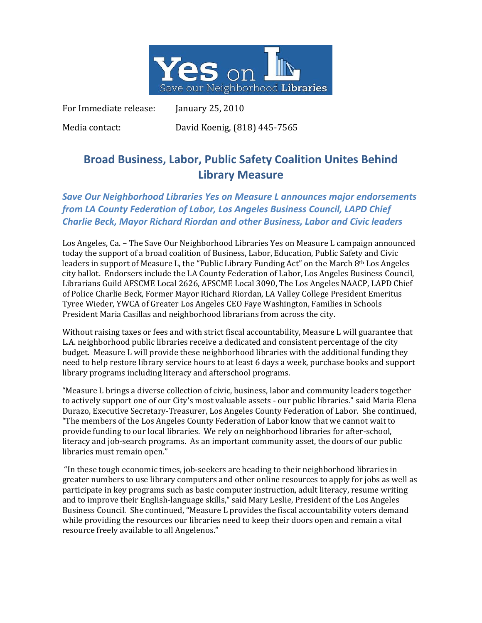

For Immediate release: January 25, 2010

Media contact: David Koenig, (818) 445‐7565

# **Broad Business, Labor, Public Safety Coalition Unites Behind Library Measure**

# *Save Our Neighborhood Libraries Yes on Measure L announces major endorsements from LA County Federation of Labor, Los Angeles Business Council, LAPD Chief Charlie Beck, Mayor Richard Riordan and other Business, Labor and Civic leaders*

Los Angeles, Ca. – The Save Our Neighborhood Libraries Yes on Measure L campaign announced today the support of a broad coalition of Business, Labor, Education, Public Safety and Civic leaders in support of Measure L, the "Public Library Funding Act" on the March  $8<sup>th</sup>$  Los Angeles city ballot. Endorsers include the LA County Federation of Labor, Los Angeles Business Council, Librarians Guild AFSCME Local 2626, AFSCME Local 3090, The Los Angeles NAACP, LAPD Chief of Police Charlie Beck, Former Mayor Richard Riordan, LA Valley College President Emeritus Tyree Wieder, YWCA of Greater Los Angeles CEO Faye Washington, Families in Schools President Maria Casillas and neighborhood librarians from across the city.

Without raising taxes or fees and with strict fiscal accountability, Measure L will guarantee that L.A. neighborhood public libraries receive a dedicated and consistent percentage of the city budget. Measure L will provide these neighborhood libraries with the additional funding they need to help restore library service hours to at least 6 days a week, purchase books and support library programs including literacy and afterschool programs.

"Measure L brings a diverse collection of civic, business, labor and community leaders together to actively support one of our City's most valuable assets ‐ our public libraries." said Maria Elena Durazo, Executive Secretary‐Treasurer, Los Angeles County Federation of Labor. She continued, "The members of the Los Angeles County Federation of Labor know that we cannot wait to provide funding to our local libraries. We rely on neighborhood libraries for after‐school, literacy and job-search programs. As an important community asset, the doors of our public libraries must remain open."

 "In these tough economic times, job‐seekers are heading to their neighborhood libraries in greater numbers to use library computers and other online resources to apply for jobs as well as participate in key programs such as basic computer instruction, adult literacy, resume writing and to improve their English‐language skills," said Mary Leslie, President of the Los Angeles Business Council. She continued, "Measure L provides the fiscal accountability voters demand while providing the resources our libraries need to keep their doors open and remain a vital resource freely available to all Angelenos."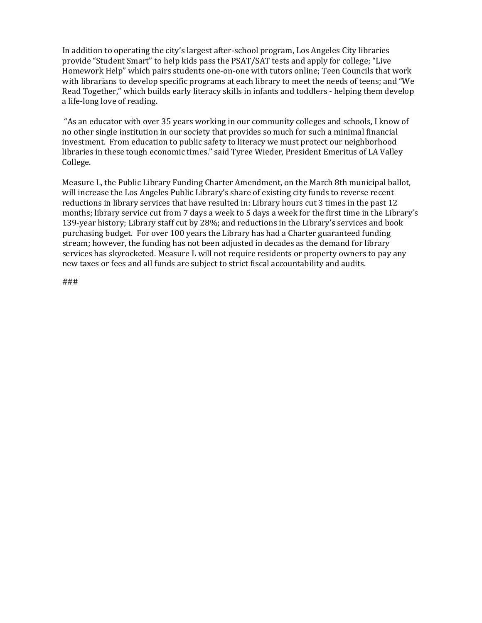In addition to operating the city's largest after‐school program, Los Angeles City libraries provide "Student Smart" to help kids pass the PSAT/SAT tests and apply for college; "Live Homework Help" which pairs students one‐on‐one with tutors online; Teen Councils that work with librarians to develop specific programs at each library to meet the needs of teens; and "We Read Together," which builds early literacy skills in infants and toddlers ‐ helping them develop a life‐long love of reading.

 "As an educator with over 35 years working in our community colleges and schools, I know of no other single institution in our society that provides so much for such a minimal financial investment. From education to public safety to literacy we must protect our neighborhood libraries in these tough economic times." said Tyree Wieder, President Emeritus of LA Valley College.

Measure L, the Public Library Funding Charter Amendment, on the March 8th municipal ballot, will increase the Los Angeles Public Library's share of existing city funds to reverse recent reductions in library services that have resulted in: Library hours cut 3 times in the past 12 months; library service cut from 7 days a week to 5 days a week for the first time in the Library's 139‐year history; Library staff cut by 28%; and reductions in the Library's services and book purchasing budget. For over 100 years the Library has had a Charter guaranteed funding stream; however, the funding has not been adjusted in decades as the demand for library services has skyrocketed. Measure L will not require residents or property owners to pay any new taxes or fees and all funds are subject to strict fiscal accountability and audits.

###